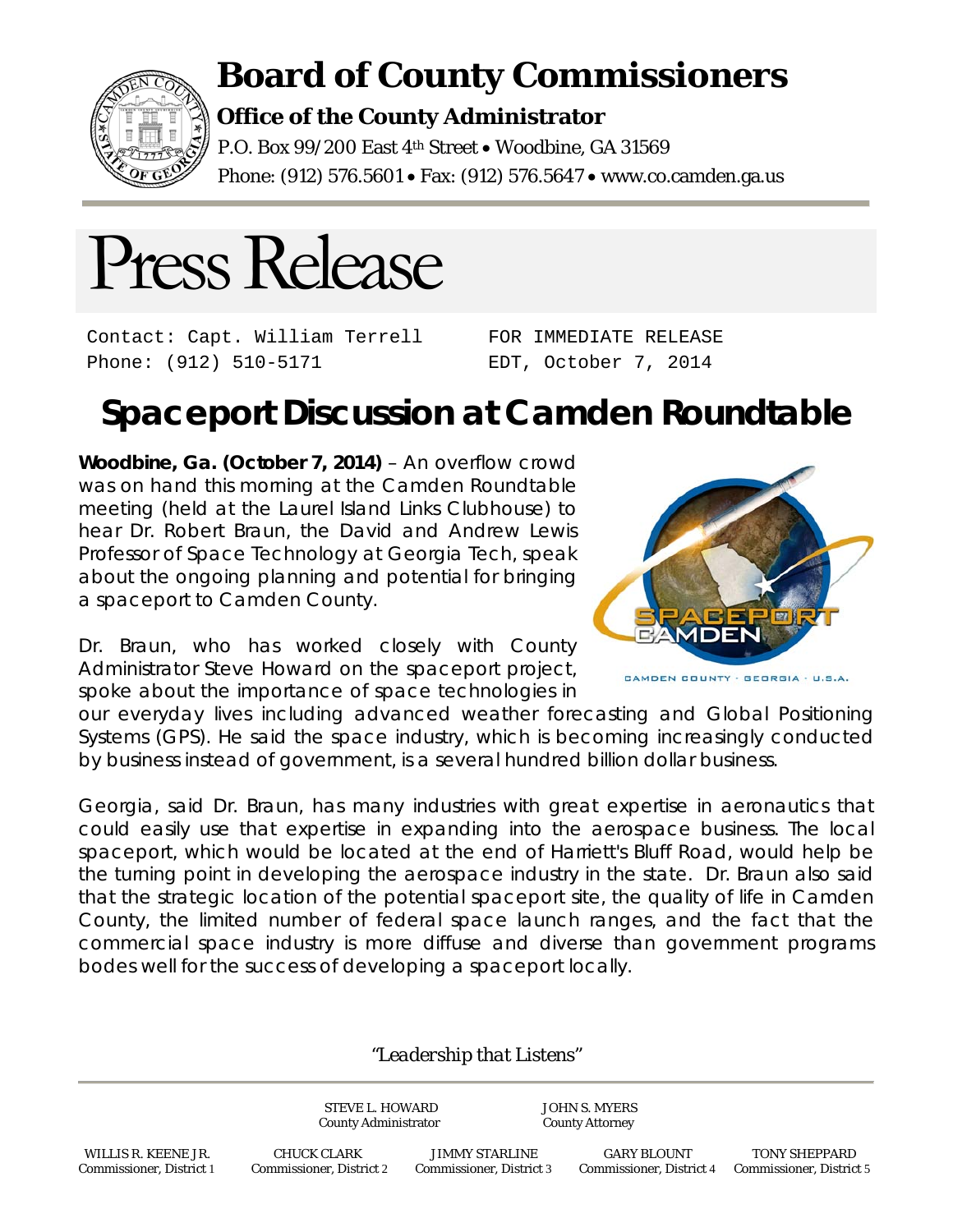

## **Board of County Commissioners**

## **Office of the County Administrator**

P.O. Box 99/200 East 4<sup>th</sup> Street . Woodbine, GA 31569 Phone: (912) 576.5601 • Fax: (912) 576.5647 • www.co.camden.ga.us



Contact: Capt. William Terrell Phone: (912) 510-5171

FOR IMMEDIATE RELEASE EDT, October 7, 2014

## **Spaceport Discussion at Camden Roundtable**

**Woodbine, Ga. (October 7, 2014)** – An overflow crowd was on hand this morning at the Camden Roundtable meeting (held at the Laurel Island Links Clubhouse) to hear Dr. Robert Braun, the David and Andrew Lewis Professor of Space Technology at Georgia Tech, speak about the ongoing planning and potential for bringing a spaceport to Camden County.

Dr. Braun, who has worked closely with County Administrator Steve Howard on the spaceport project, spoke about the importance of space technologies in



CAMDEN COUNTY - GEORGIA - U.S.A.

our everyday lives including advanced weather forecasting and Global Positioning Systems (GPS). He said the space industry, which is becoming increasingly conducted by business instead of government, is a several hundred billion dollar business.

Georgia, said Dr. Braun, has many industries with great expertise in aeronautics that could easily use that expertise in expanding into the aerospace business. The local spaceport, which would be located at the end of Harriett's Bluff Road, would help be the turning point in developing the aerospace industry in the state. Dr. Braun also said that the strategic location of the potential spaceport site, the quality of life in Camden County, the limited number of federal space launch ranges, and the fact that the commercial space industry is more diffuse and diverse than government programs bodes well for the success of developing a spaceport locally.

## *"Leadership that Listens"*

STEVE L. HOWARD JOHN S. MYERS County Administrator County Attorney

 WILLIS R. KEENE JR. CHUCK CLARK JIMMY STARLINE GARY BLOUNT TONY SHEPPARD Commissioner, District 1 Commissioner, District 2 Commissioner, District 3 Commissioner, District 4 Commissioner, District 5